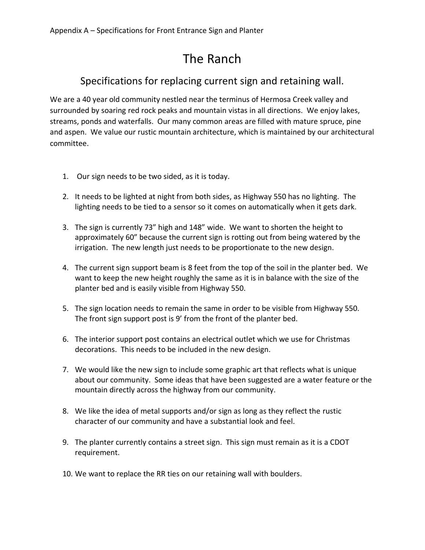## The Ranch

## Specifications for replacing current sign and retaining wall.

We are a 40 year old community nestled near the terminus of Hermosa Creek valley and surrounded by soaring red rock peaks and mountain vistas in all directions. We enjoy lakes, streams, ponds and waterfalls. Our many common areas are filled with mature spruce, pine and aspen. We value our rustic mountain architecture, which is maintained by our architectural committee.

- 1. Our sign needs to be two sided, as it is today.
- 2. It needs to be lighted at night from both sides, as Highway 550 has no lighting. The lighting needs to be tied to a sensor so it comes on automatically when it gets dark.
- 3. The sign is currently 73" high and 148" wide. We want to shorten the height to approximately 60" because the current sign is rotting out from being watered by the irrigation. The new length just needs to be proportionate to the new design.
- 4. The current sign support beam is 8 feet from the top of the soil in the planter bed. We want to keep the new height roughly the same as it is in balance with the size of the planter bed and is easily visible from Highway 550.
- 5. The sign location needs to remain the same in order to be visible from Highway 550. The front sign support post is 9' from the front of the planter bed.
- 6. The interior support post contains an electrical outlet which we use for Christmas decorations. This needs to be included in the new design.
- 7. We would like the new sign to include some graphic art that reflects what is unique about our community. Some ideas that have been suggested are a water feature or the mountain directly across the highway from our community.
- 8. We like the idea of metal supports and/or sign as long as they reflect the rustic character of our community and have a substantial look and feel.
- 9. The planter currently contains a street sign. This sign must remain as it is a CDOT requirement.
- 10. We want to replace the RR ties on our retaining wall with boulders.